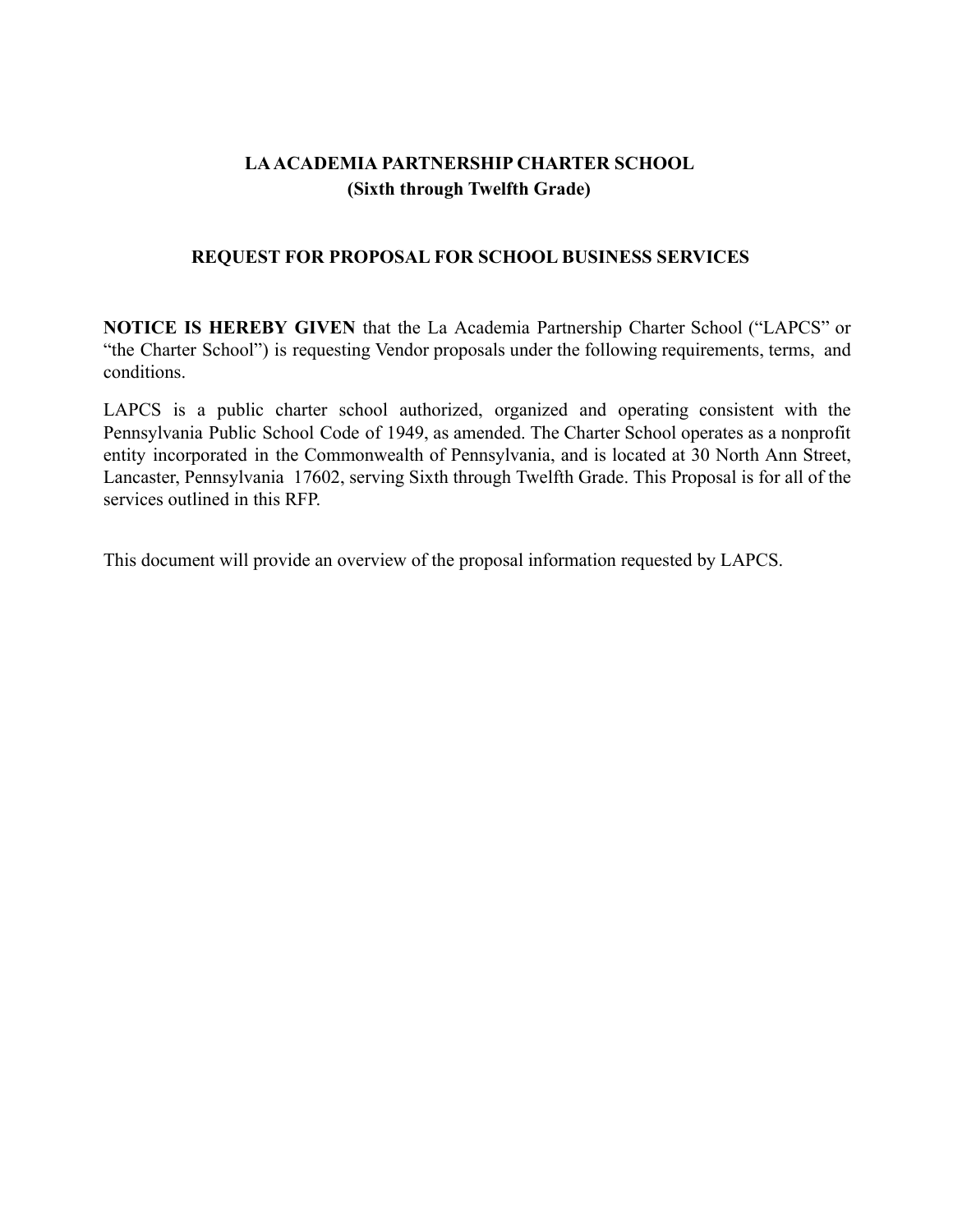# **LAACADEMIA PARTNERSHIP CHARTER SCHOOL (Sixth through Twelfth Grade)**

## **REQUEST FOR PROPOSAL FOR SCHOOL BUSINESS SERVICES**

**NOTICE IS HEREBY GIVEN** that the La Academia Partnership Charter School ("LAPCS" or "the Charter School") is requesting Vendor proposals under the following requirements, terms, and conditions.

LAPCS is a public charter school authorized, organized and operating consistent with the Pennsylvania Public School Code of 1949, as amended. The Charter School operates as a nonprofit entity incorporated in the Commonwealth of Pennsylvania, and is located at 30 North Ann Street, Lancaster, Pennsylvania 17602, serving Sixth through Twelfth Grade. This Proposal is for all of the services outlined in this RFP.

This document will provide an overview of the proposal information requested by LAPCS.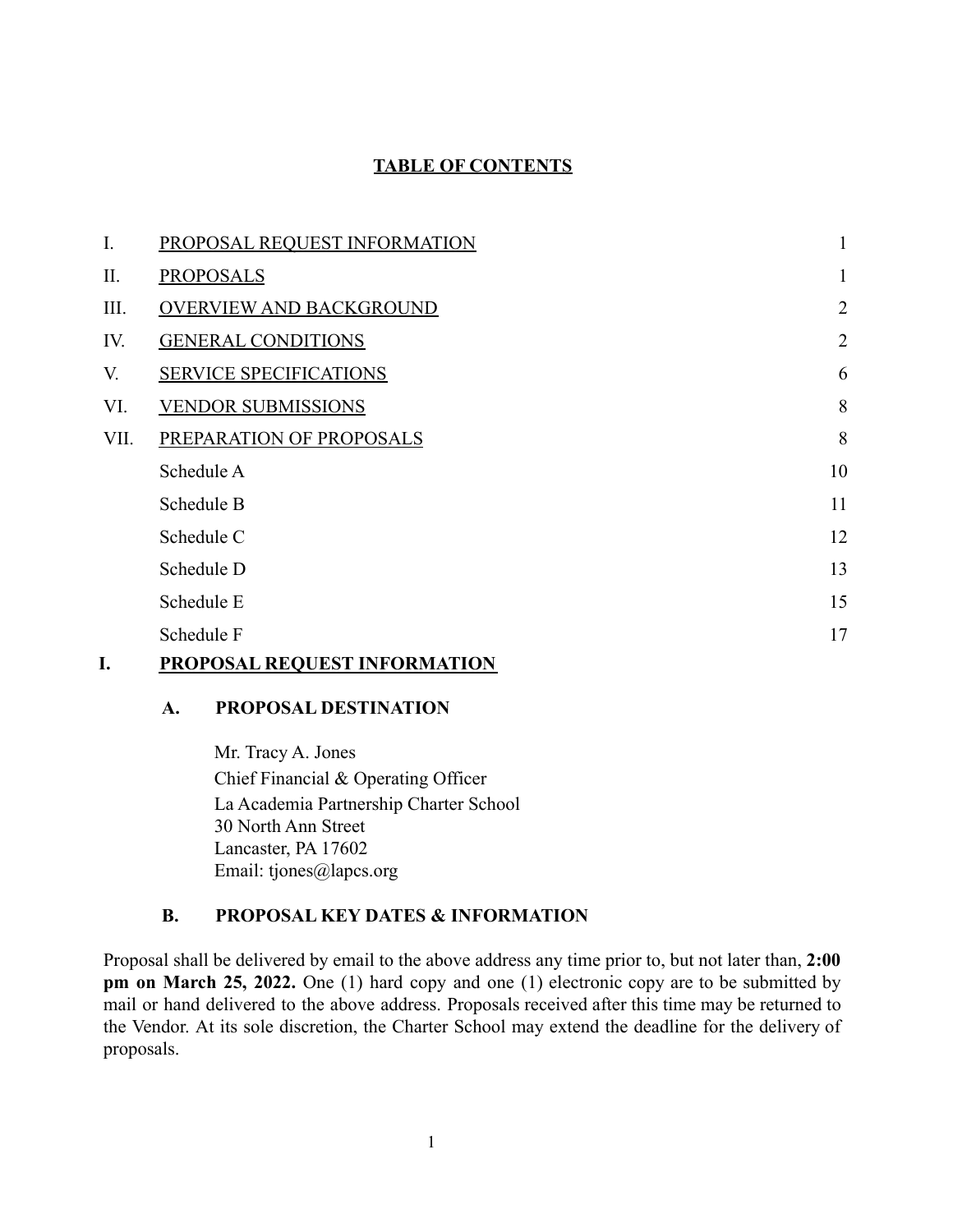## **TABLE OF CONTENTS**

| I.   | PROPOSAL REQUEST INFORMATION   | $\mathbf{1}$   |
|------|--------------------------------|----------------|
| П.   | <b>PROPOSALS</b>               | $\mathbf{1}$   |
| Ш.   | <b>OVERVIEW AND BACKGROUND</b> | $\overline{2}$ |
| IV.  | <b>GENERAL CONDITIONS</b>      | $\overline{2}$ |
| V.   | <b>SERVICE SPECIFICATIONS</b>  | 6              |
| VI.  | <b>VENDOR SUBMISSIONS</b>      | 8              |
| VII. | PREPARATION OF PROPOSALS       | 8              |
|      | Schedule A                     | 10             |
|      | Schedule B                     | 11             |
|      | Schedule C                     | 12             |
|      | Schedule D                     | 13             |
|      | Schedule E                     | 15             |
|      | Schedule F                     | 17             |
|      |                                |                |

#### <span id="page-1-0"></span>**I. PROPOSAL REQUEST INFORMATION**

#### **A. PROPOSAL DESTINATION**

Mr. Tracy A. Jones Chief Financial & Operating Officer La Academia Partnership Charter School 30 North Ann Street Lancaster, PA 17602 Email: tjones@lapcs.org

### **B. PROPOSAL KEY DATES & INFORMATION**

Proposal shall be delivered by email to the above address any time prior to, but not later than, **2:00 pm on March 25, 2022.** One (1) hard copy and one (1) electronic copy are to be submitted by mail or hand delivered to the above address. Proposals received after this time may be returned to the Vendor. At its sole discretion, the Charter School may extend the deadline for the delivery of proposals.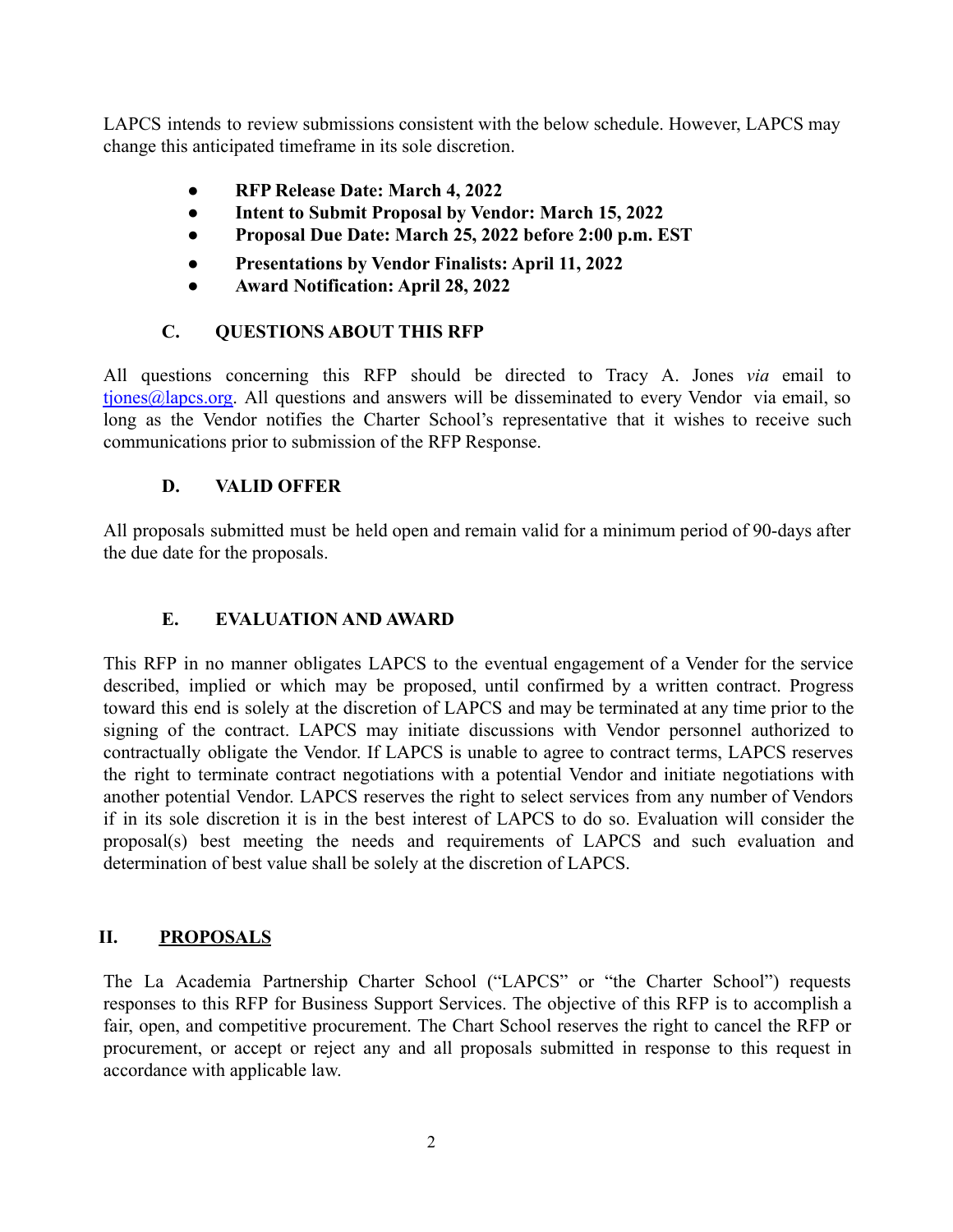LAPCS intends to review submissions consistent with the below schedule. However, LAPCS may change this anticipated timeframe in its sole discretion.

- **● RFP Release Date: March 4, 2022**
- **● Intent to Submit Proposal by Vendor: March 15, 2022**
- **● Proposal Due Date: March 25, 2022 before 2:00 p.m. EST**
- **● Presentations by Vendor Finalists: April 11, 2022**
- **● Award Notification: April 28, 2022**

# **C. QUESTIONS ABOUT THIS RFP**

All questions concerning this RFP should be directed to Tracy A. Jones *via* email to [tjones@lapcs.org.](mailto:tjones@lapcs.org) All questions and answers will be disseminated to every Vendor via email, so long as the Vendor notifies the Charter School's representative that it wishes to receive such communications prior to submission of the RFP Response.

# **D. VALID OFFER**

All proposals submitted must be held open and remain valid for a minimum period of 90-days after the due date for the proposals.

# **E. EVALUATION AND AWARD**

This RFP in no manner obligates LAPCS to the eventual engagement of a Vender for the service described, implied or which may be proposed, until confirmed by a written contract. Progress toward this end is solely at the discretion of LAPCS and may be terminated at any time prior to the signing of the contract. LAPCS may initiate discussions with Vendor personnel authorized to contractually obligate the Vendor. If LAPCS is unable to agree to contract terms, LAPCS reserves the right to terminate contract negotiations with a potential Vendor and initiate negotiations with another potential Vendor. LAPCS reserves the right to select services from any number of Vendors if in its sole discretion it is in the best interest of LAPCS to do so. Evaluation will consider the proposal(s) best meeting the needs and requirements of LAPCS and such evaluation and determination of best value shall be solely at the discretion of LAPCS.

# <span id="page-2-0"></span>**II. PROPOSALS**

The La Academia Partnership Charter School ("LAPCS" or "the Charter School") requests responses to this RFP for Business Support Services. The objective of this RFP is to accomplish a fair, open, and competitive procurement. The Chart School reserves the right to cancel the RFP or procurement, or accept or reject any and all proposals submitted in response to this request in accordance with applicable law.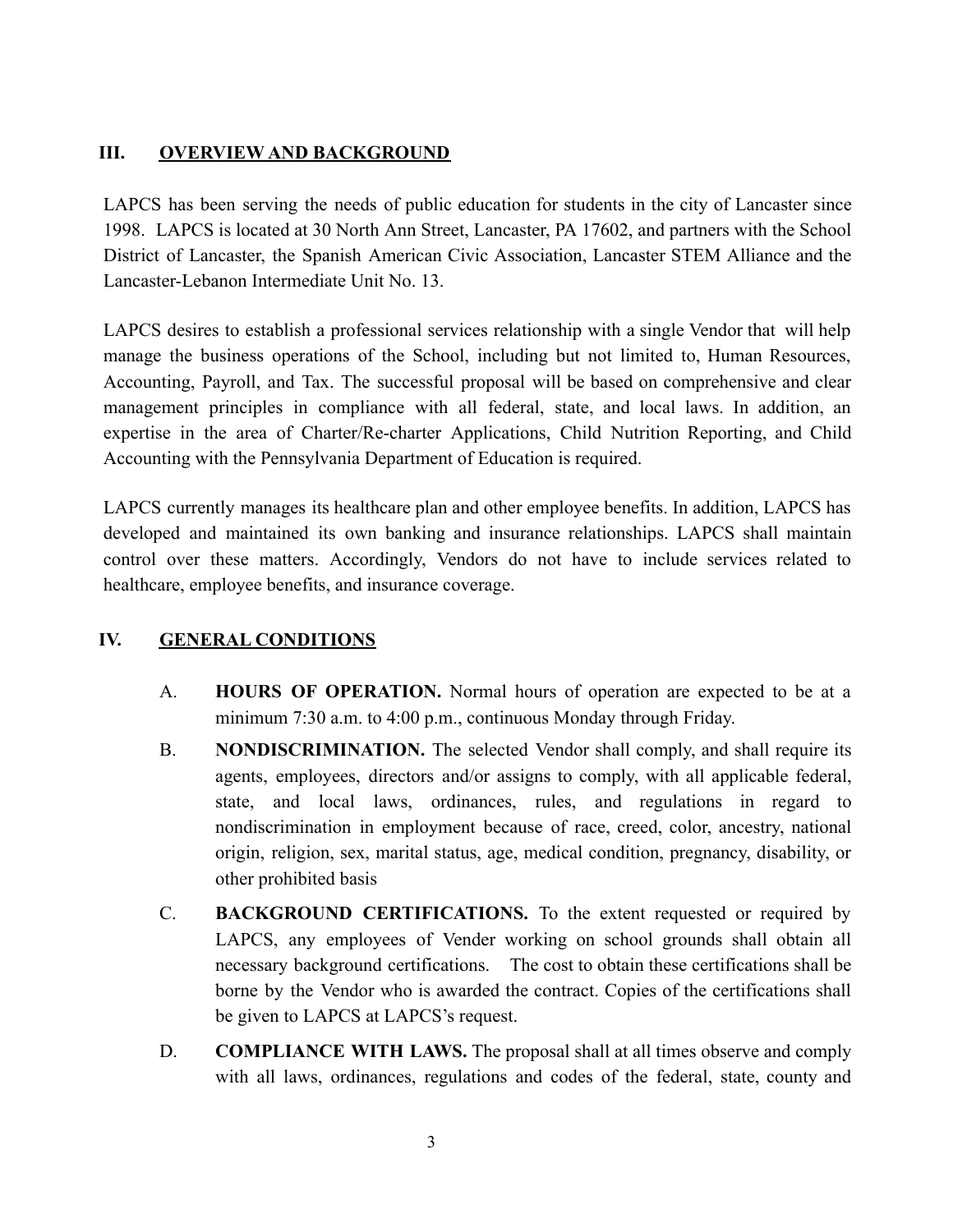## <span id="page-3-0"></span>**III. OVERVIEW AND BACKGROUND**

LAPCS has been serving the needs of public education for students in the city of Lancaster since 1998. LAPCS is located at 30 North Ann Street, Lancaster, PA 17602, and partners with the School District of Lancaster, the Spanish American Civic Association, Lancaster STEM Alliance and the Lancaster-Lebanon Intermediate Unit No. 13.

LAPCS desires to establish a professional services relationship with a single Vendor that will help manage the business operations of the School, including but not limited to, Human Resources, Accounting, Payroll, and Tax. The successful proposal will be based on comprehensive and clear management principles in compliance with all federal, state, and local laws. In addition, an expertise in the area of Charter/Re-charter Applications, Child Nutrition Reporting, and Child Accounting with the Pennsylvania Department of Education is required.

LAPCS currently manages its healthcare plan and other employee benefits. In addition, LAPCS has developed and maintained its own banking and insurance relationships. LAPCS shall maintain control over these matters. Accordingly, Vendors do not have to include services related to healthcare, employee benefits, and insurance coverage.

# <span id="page-3-1"></span>**IV. GENERAL CONDITIONS**

- A. **HOURS OF OPERATION.** Normal hours of operation are expected to be at a minimum 7:30 a.m. to 4:00 p.m., continuous Monday through Friday.
- B. **NONDISCRIMINATION.** The selected Vendor shall comply, and shall require its agents, employees, directors and/or assigns to comply, with all applicable federal, state, and local laws, ordinances, rules, and regulations in regard to nondiscrimination in employment because of race, creed, color, ancestry, national origin, religion, sex, marital status, age, medical condition, pregnancy, disability, or other prohibited basis
- C. **BACKGROUND CERTIFICATIONS.** To the extent requested or required by LAPCS, any employees of Vender working on school grounds shall obtain all necessary background certifications. The cost to obtain these certifications shall be borne by the Vendor who is awarded the contract. Copies of the certifications shall be given to LAPCS at LAPCS's request.
- D. **COMPLIANCE WITH LAWS.** The proposal shall at all times observe and comply with all laws, ordinances, regulations and codes of the federal, state, county and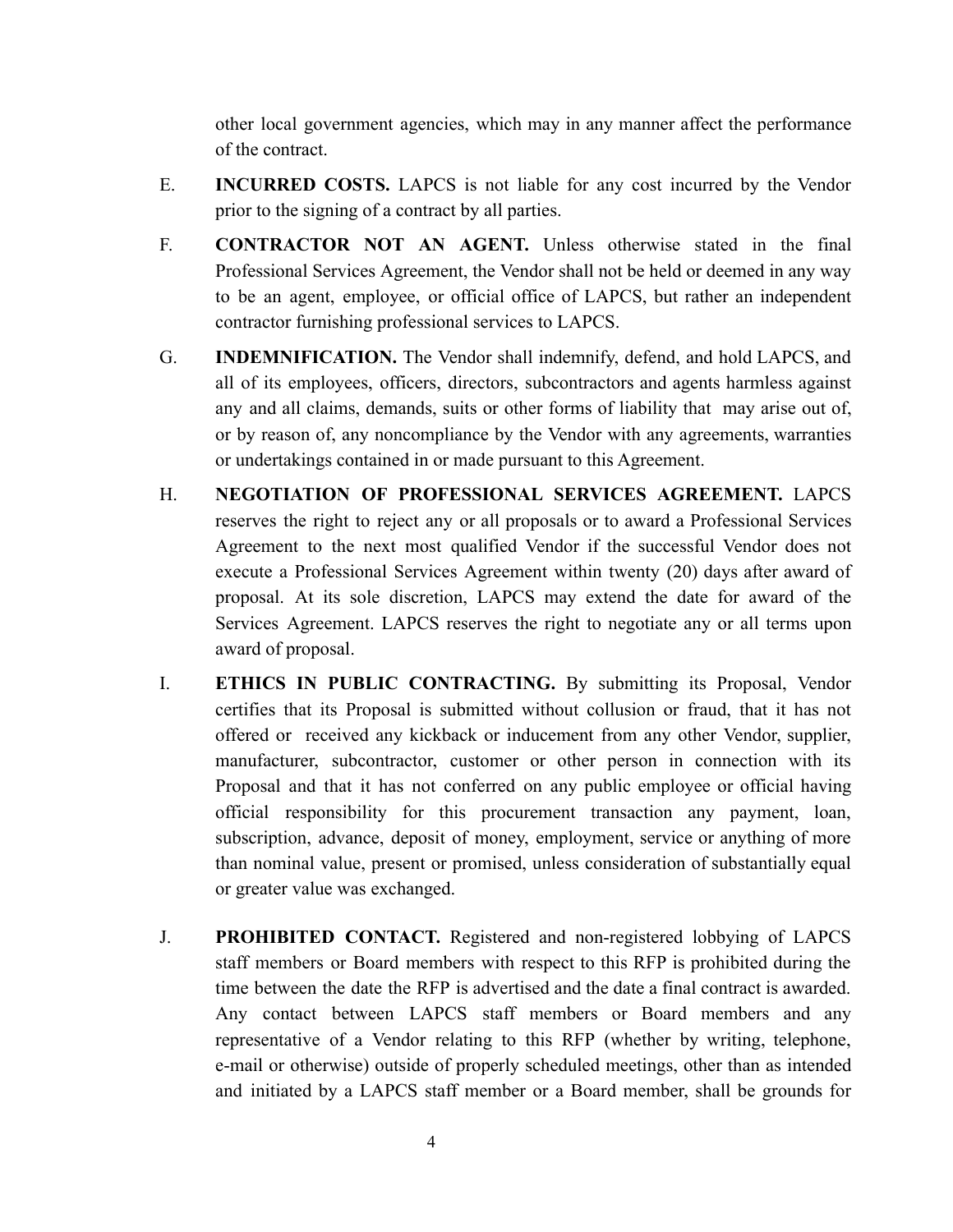other local government agencies, which may in any manner affect the performance of the contract.

- E. **INCURRED COSTS.** LAPCS is not liable for any cost incurred by the Vendor prior to the signing of a contract by all parties.
- F. **CONTRACTOR NOT AN AGENT.** Unless otherwise stated in the final Professional Services Agreement, the Vendor shall not be held or deemed in any way to be an agent, employee, or official office of LAPCS, but rather an independent contractor furnishing professional services to LAPCS.
- G. **INDEMNIFICATION.** The Vendor shall indemnify, defend, and hold LAPCS, and all of its employees, officers, directors, subcontractors and agents harmless against any and all claims, demands, suits or other forms of liability that may arise out of, or by reason of, any noncompliance by the Vendor with any agreements, warranties or undertakings contained in or made pursuant to this Agreement.
- H. **NEGOTIATION OF PROFESSIONAL SERVICES AGREEMENT.** LAPCS reserves the right to reject any or all proposals or to award a Professional Services Agreement to the next most qualified Vendor if the successful Vendor does not execute a Professional Services Agreement within twenty (20) days after award of proposal. At its sole discretion, LAPCS may extend the date for award of the Services Agreement. LAPCS reserves the right to negotiate any or all terms upon award of proposal.
- I. **ETHICS IN PUBLIC CONTRACTING.** By submitting its Proposal, Vendor certifies that its Proposal is submitted without collusion or fraud, that it has not offered or received any kickback or inducement from any other Vendor, supplier, manufacturer, subcontractor, customer or other person in connection with its Proposal and that it has not conferred on any public employee or official having official responsibility for this procurement transaction any payment, loan, subscription, advance, deposit of money, employment, service or anything of more than nominal value, present or promised, unless consideration of substantially equal or greater value was exchanged.
- J. **PROHIBITED CONTACT.** Registered and non-registered lobbying of LAPCS staff members or Board members with respect to this RFP is prohibited during the time between the date the RFP is advertised and the date a final contract is awarded. Any contact between LAPCS staff members or Board members and any representative of a Vendor relating to this RFP (whether by writing, telephone, e-mail or otherwise) outside of properly scheduled meetings, other than as intended and initiated by a LAPCS staff member or a Board member, shall be grounds for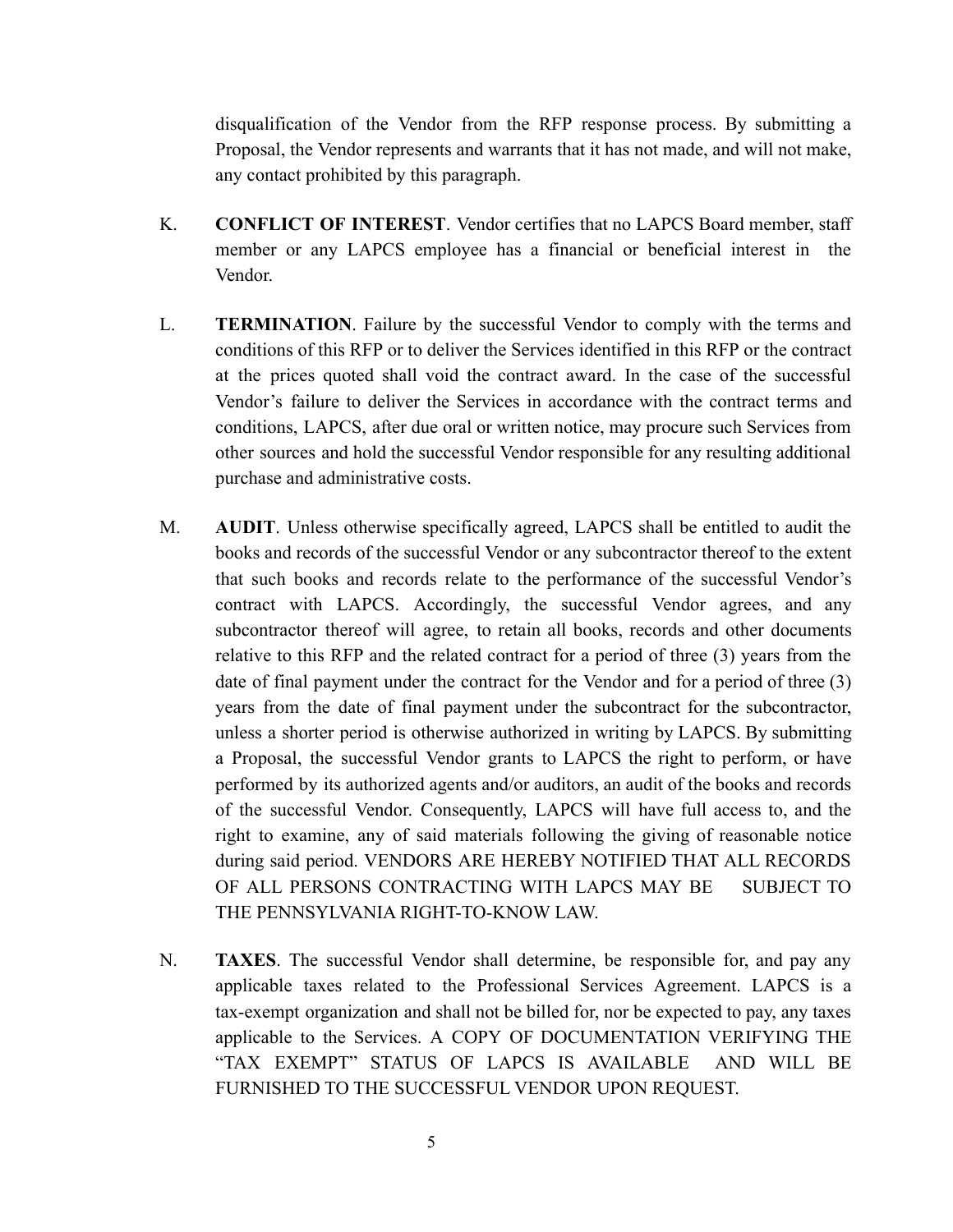disqualification of the Vendor from the RFP response process. By submitting a Proposal, the Vendor represents and warrants that it has not made, and will not make, any contact prohibited by this paragraph.

- K. **CONFLICT OF INTEREST**. Vendor certifies that no LAPCS Board member, staff member or any LAPCS employee has a financial or beneficial interest in the Vendor.
- L. **TERMINATION**. Failure by the successful Vendor to comply with the terms and conditions of this RFP or to deliver the Services identified in this RFP or the contract at the prices quoted shall void the contract award. In the case of the successful Vendor's failure to deliver the Services in accordance with the contract terms and conditions, LAPCS, after due oral or written notice, may procure such Services from other sources and hold the successful Vendor responsible for any resulting additional purchase and administrative costs.
- M. **AUDIT**. Unless otherwise specifically agreed, LAPCS shall be entitled to audit the books and records of the successful Vendor or any subcontractor thereof to the extent that such books and records relate to the performance of the successful Vendor's contract with LAPCS. Accordingly, the successful Vendor agrees, and any subcontractor thereof will agree, to retain all books, records and other documents relative to this RFP and the related contract for a period of three (3) years from the date of final payment under the contract for the Vendor and for a period of three (3) years from the date of final payment under the subcontract for the subcontractor, unless a shorter period is otherwise authorized in writing by LAPCS. By submitting a Proposal, the successful Vendor grants to LAPCS the right to perform, or have performed by its authorized agents and/or auditors, an audit of the books and records of the successful Vendor. Consequently, LAPCS will have full access to, and the right to examine, any of said materials following the giving of reasonable notice during said period. VENDORS ARE HEREBY NOTIFIED THAT ALL RECORDS OF ALL PERSONS CONTRACTING WITH LAPCS MAY BE SUBJECT TO THE PENNSYLVANIA RIGHT-TO-KNOW LAW.
- N. **TAXES**. The successful Vendor shall determine, be responsible for, and pay any applicable taxes related to the Professional Services Agreement. LAPCS is a tax-exempt organization and shall not be billed for, nor be expected to pay, any taxes applicable to the Services. A COPY OF DOCUMENTATION VERIFYING THE "TAX EXEMPT" STATUS OF LAPCS IS AVAILABLE AND WILL BE FURNISHED TO THE SUCCESSFUL VENDOR UPON REQUEST.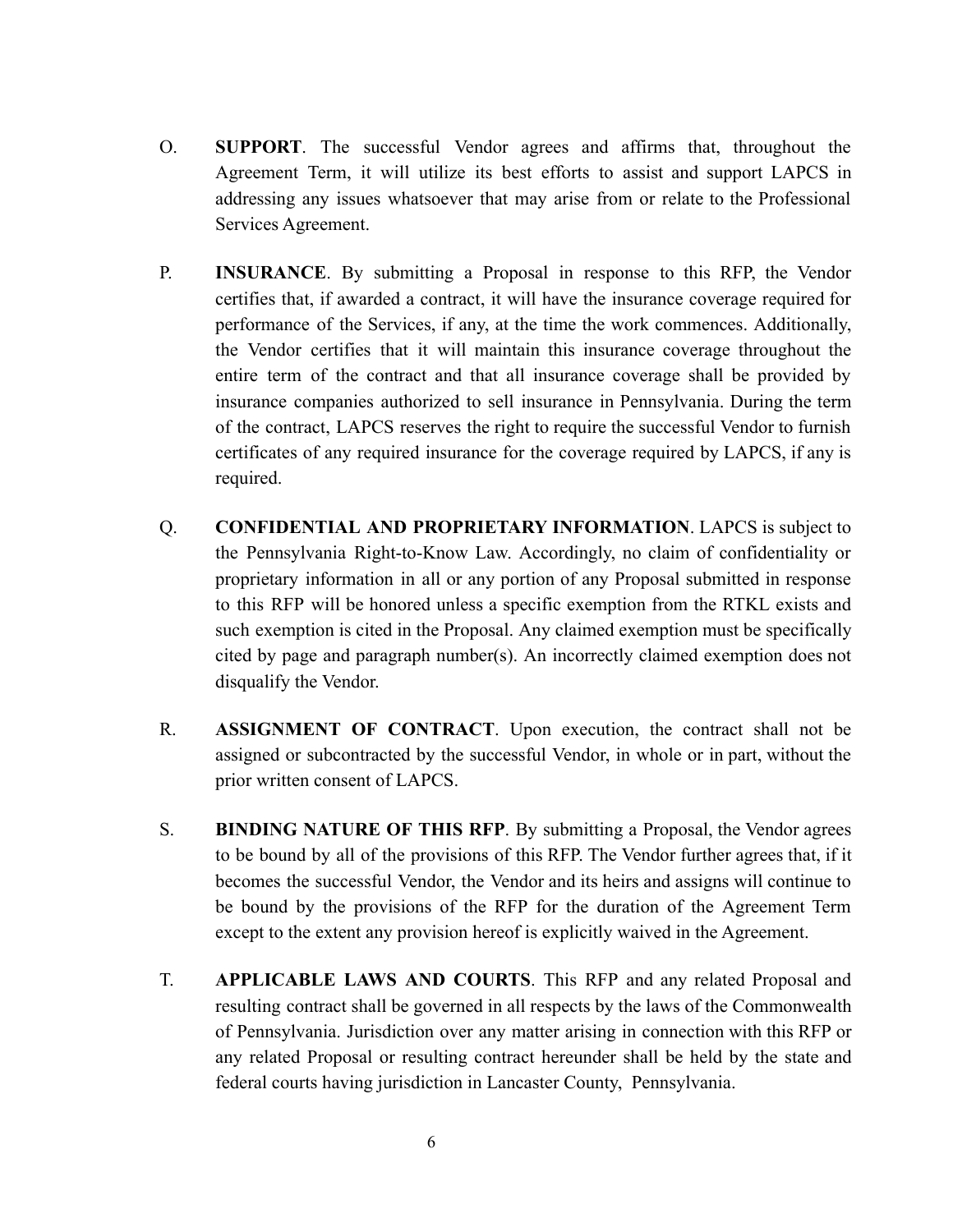- O. **SUPPORT**. The successful Vendor agrees and affirms that, throughout the Agreement Term, it will utilize its best efforts to assist and support LAPCS in addressing any issues whatsoever that may arise from or relate to the Professional Services Agreement.
- P. **INSURANCE**. By submitting a Proposal in response to this RFP, the Vendor certifies that, if awarded a contract, it will have the insurance coverage required for performance of the Services, if any, at the time the work commences. Additionally, the Vendor certifies that it will maintain this insurance coverage throughout the entire term of the contract and that all insurance coverage shall be provided by insurance companies authorized to sell insurance in Pennsylvania. During the term of the contract, LAPCS reserves the right to require the successful Vendor to furnish certificates of any required insurance for the coverage required by LAPCS, if any is required.
- Q. **CONFIDENTIAL AND PROPRIETARY INFORMATION**. LAPCS is subject to the Pennsylvania Right-to-Know Law. Accordingly, no claim of confidentiality or proprietary information in all or any portion of any Proposal submitted in response to this RFP will be honored unless a specific exemption from the RTKL exists and such exemption is cited in the Proposal. Any claimed exemption must be specifically cited by page and paragraph number(s). An incorrectly claimed exemption does not disqualify the Vendor.
- R. **ASSIGNMENT OF CONTRACT**. Upon execution, the contract shall not be assigned or subcontracted by the successful Vendor, in whole or in part, without the prior written consent of LAPCS.
- S. **BINDING NATURE OF THIS RFP**. By submitting a Proposal, the Vendor agrees to be bound by all of the provisions of this RFP. The Vendor further agrees that, if it becomes the successful Vendor, the Vendor and its heirs and assigns will continue to be bound by the provisions of the RFP for the duration of the Agreement Term except to the extent any provision hereof is explicitly waived in the Agreement.
- T. **APPLICABLE LAWS AND COURTS**. This RFP and any related Proposal and resulting contract shall be governed in all respects by the laws of the Commonwealth of Pennsylvania. Jurisdiction over any matter arising in connection with this RFP or any related Proposal or resulting contract hereunder shall be held by the state and federal courts having jurisdiction in Lancaster County, Pennsylvania.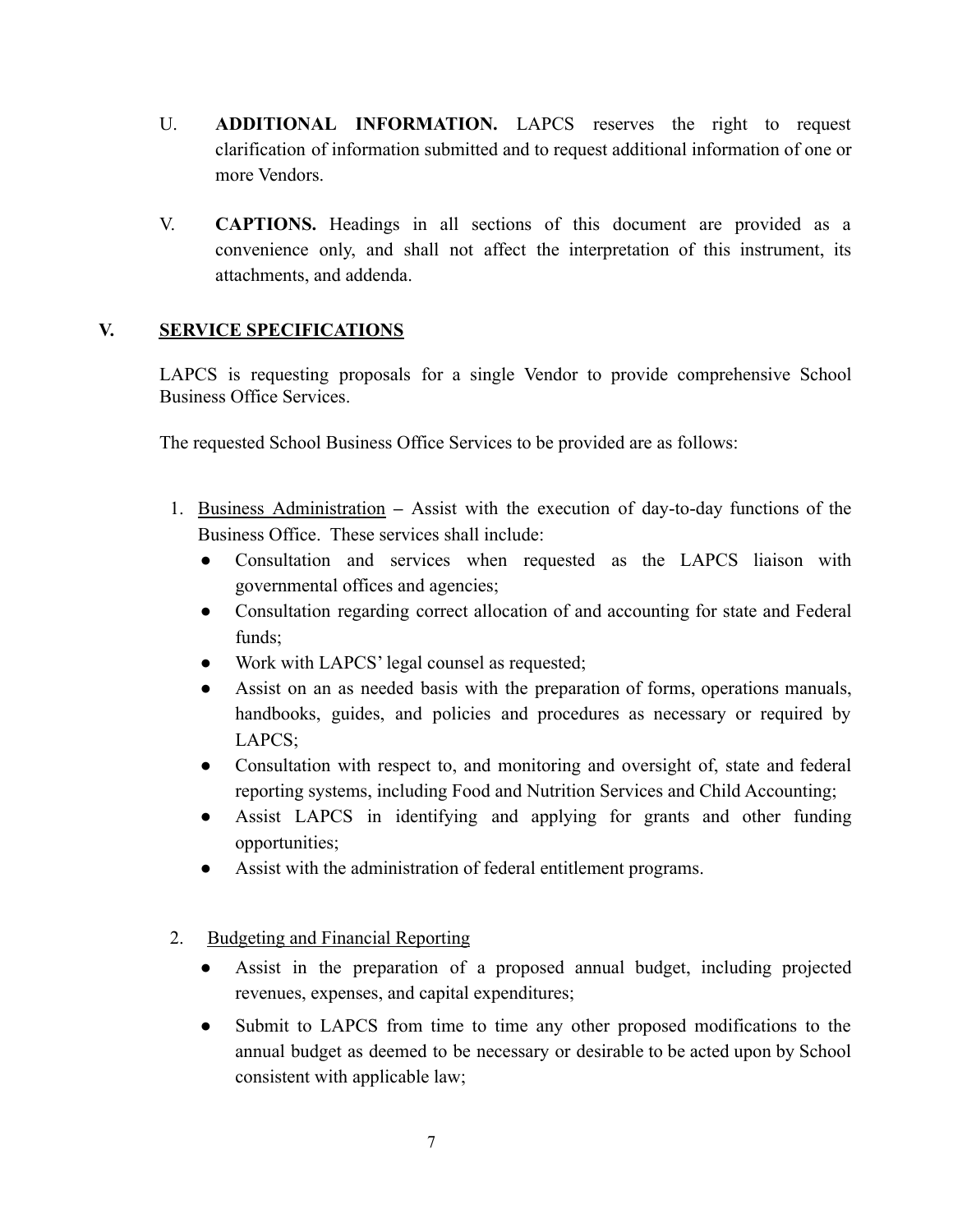- U. **ADDITIONAL INFORMATION.** LAPCS reserves the right to request clarification of information submitted and to request additional information of one or more Vendors.
- V. **CAPTIONS.** Headings in all sections of this document are provided as a convenience only, and shall not affect the interpretation of this instrument, its attachments, and addenda.

## <span id="page-7-0"></span>**V. SERVICE SPECIFICATIONS**

LAPCS is requesting proposals for a single Vendor to provide comprehensive School Business Office Services.

The requested School Business Office Services to be provided are as follows:

- 1. Business Administration **–** Assist with the execution of day-to-day functions of the Business Office. These services shall include:
	- Consultation and services when requested as the LAPCS liaison with governmental offices and agencies;
	- Consultation regarding correct allocation of and accounting for state and Federal funds;
	- Work with LAPCS' legal counsel as requested;
	- Assist on an as needed basis with the preparation of forms, operations manuals, handbooks, guides, and policies and procedures as necessary or required by LAPCS;
	- Consultation with respect to, and monitoring and oversight of, state and federal reporting systems, including Food and Nutrition Services and Child Accounting;
	- Assist LAPCS in identifying and applying for grants and other funding opportunities;
	- Assist with the administration of federal entitlement programs.

# 2. Budgeting and Financial Reporting

- Assist in the preparation of a proposed annual budget, including projected revenues, expenses, and capital expenditures;
- Submit to LAPCS from time to time any other proposed modifications to the annual budget as deemed to be necessary or desirable to be acted upon by School consistent with applicable law;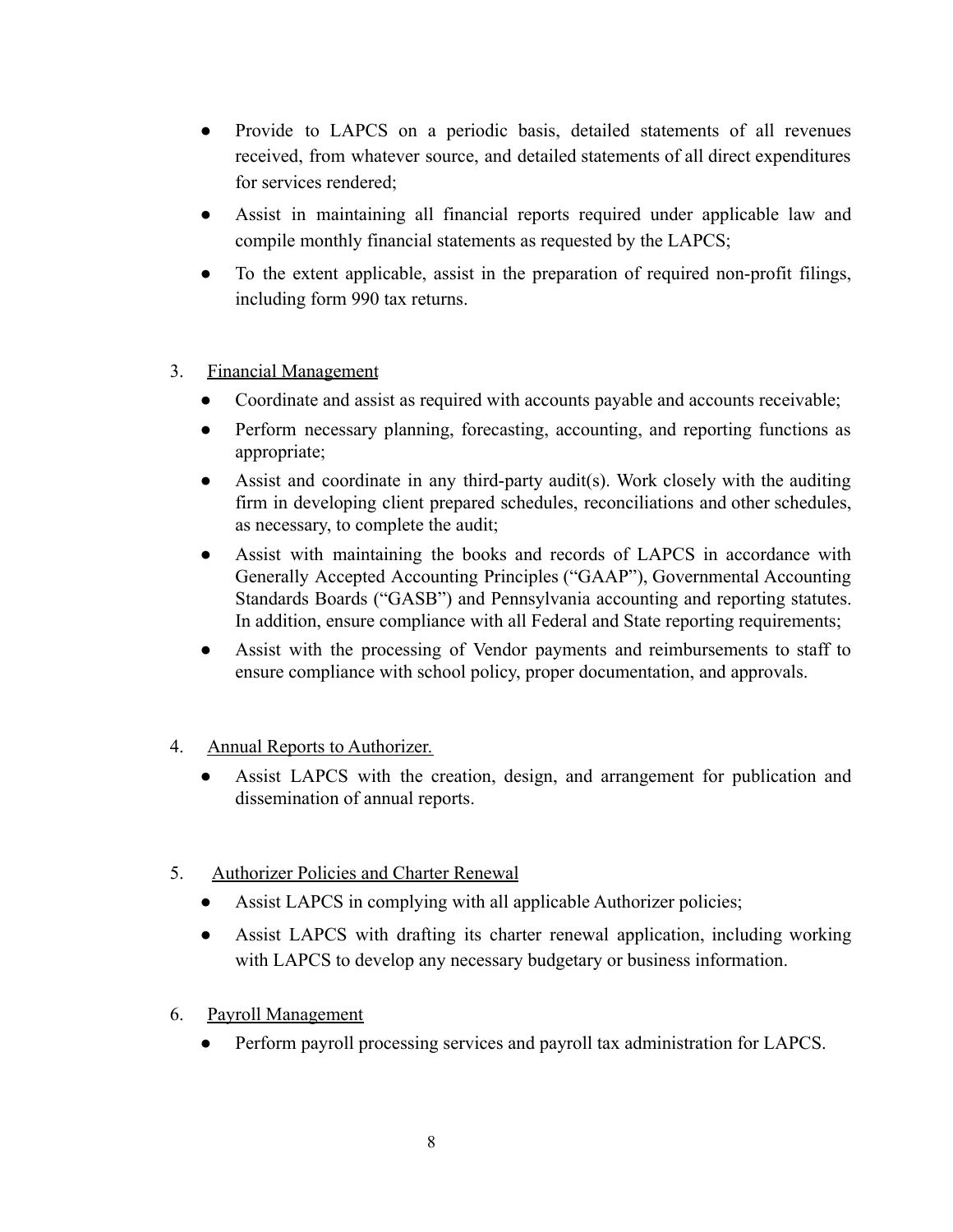- Provide to LAPCS on a periodic basis, detailed statements of all revenues received, from whatever source, and detailed statements of all direct expenditures for services rendered;
- Assist in maintaining all financial reports required under applicable law and compile monthly financial statements as requested by the LAPCS;
- To the extent applicable, assist in the preparation of required non-profit filings, including form 990 tax returns.

## 3. Financial Management

- Coordinate and assist as required with accounts payable and accounts receivable;
- Perform necessary planning, forecasting, accounting, and reporting functions as appropriate;
- Assist and coordinate in any third-party audit(s). Work closely with the auditing firm in developing client prepared schedules, reconciliations and other schedules, as necessary, to complete the audit;
- Assist with maintaining the books and records of LAPCS in accordance with Generally Accepted Accounting Principles ("GAAP"), Governmental Accounting Standards Boards ("GASB") and Pennsylvania accounting and reporting statutes. In addition, ensure compliance with all Federal and State reporting requirements;
- Assist with the processing of Vendor payments and reimbursements to staff to ensure compliance with school policy, proper documentation, and approvals.

## 4. Annual Reports to Authorizer.

- Assist LAPCS with the creation, design, and arrangement for publication and dissemination of annual reports.
- 5. Authorizer Policies and Charter Renewal
	- Assist LAPCS in complying with all applicable Authorizer policies;
	- Assist LAPCS with drafting its charter renewal application, including working with LAPCS to develop any necessary budgetary or business information.
- 6. Payroll Management
	- Perform payroll processing services and payroll tax administration for LAPCS.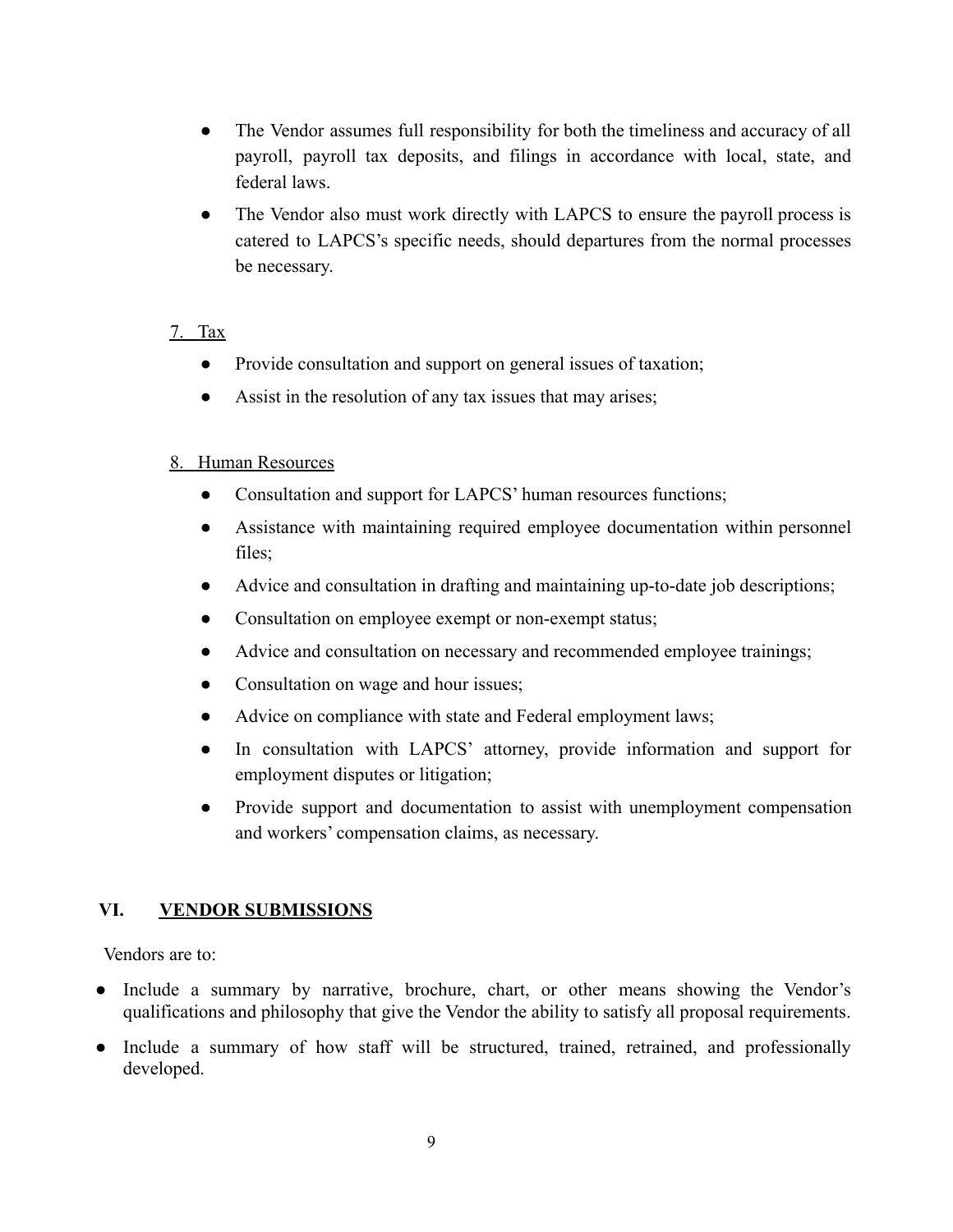- The Vendor assumes full responsibility for both the timeliness and accuracy of all payroll, payroll tax deposits, and filings in accordance with local, state, and federal laws.
- The Vendor also must work directly with LAPCS to ensure the payroll process is catered to LAPCS's specific needs, should departures from the normal processes be necessary.

## 7. Tax

- Provide consultation and support on general issues of taxation;
- Assist in the resolution of any tax issues that may arises;

## 8. Human Resources

- Consultation and support for LAPCS' human resources functions;
- Assistance with maintaining required employee documentation within personnel files;
- Advice and consultation in drafting and maintaining up-to-date job descriptions;
- Consultation on employee exempt or non-exempt status;
- Advice and consultation on necessary and recommended employee trainings;
- Consultation on wage and hour issues;
- Advice on compliance with state and Federal employment laws;
- In consultation with LAPCS' attorney, provide information and support for employment disputes or litigation;
- Provide support and documentation to assist with unemployment compensation and workers' compensation claims, as necessary.

# <span id="page-9-0"></span>**VI. VENDOR SUBMISSIONS**

Vendors are to:

- Include a summary by narrative, brochure, chart, or other means showing the Vendor's qualifications and philosophy that give the Vendor the ability to satisfy all proposal requirements.
- Include a summary of how staff will be structured, trained, retrained, and professionally developed.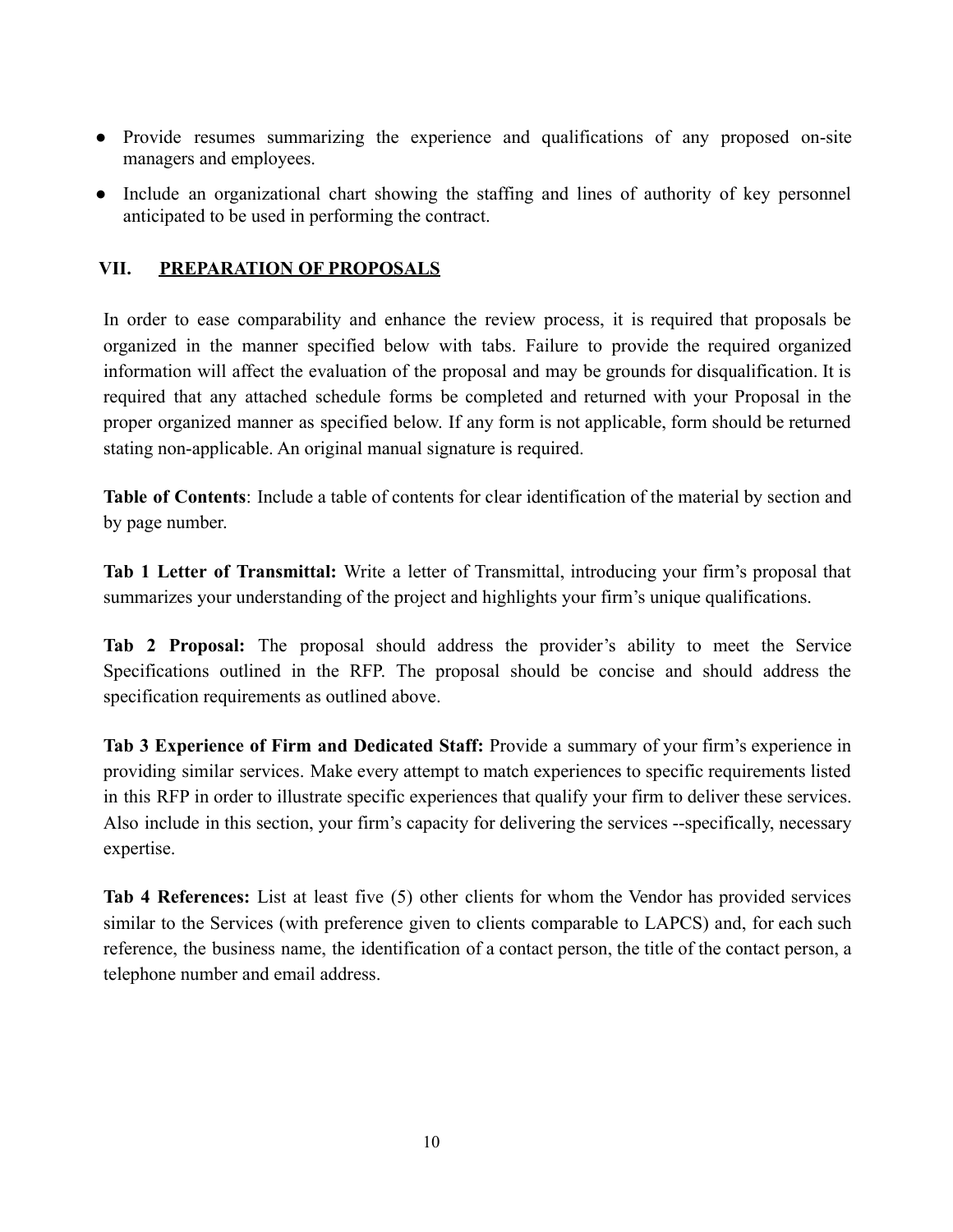- Provide resumes summarizing the experience and qualifications of any proposed on-site managers and employees.
- Include an organizational chart showing the staffing and lines of authority of key personnel anticipated to be used in performing the contract.

## <span id="page-10-0"></span>**VII. PREPARATION OF PROPOSALS**

In order to ease comparability and enhance the review process, it is required that proposals be organized in the manner specified below with tabs. Failure to provide the required organized information will affect the evaluation of the proposal and may be grounds for disqualification. It is required that any attached schedule forms be completed and returned with your Proposal in the proper organized manner as specified below. If any form is not applicable, form should be returned stating non-applicable. An original manual signature is required.

**Table of Contents**: Include a table of contents for clear identification of the material by section and by page number.

**Tab 1 Letter of Transmittal:** Write a letter of Transmittal, introducing your firm's proposal that summarizes your understanding of the project and highlights your firm's unique qualifications.

**Tab 2 Proposal:** The proposal should address the provider's ability to meet the Service Specifications outlined in the RFP. The proposal should be concise and should address the specification requirements as outlined above.

**Tab 3 Experience of Firm and Dedicated Staff:** Provide a summary of your firm's experience in providing similar services. Make every attempt to match experiences to specific requirements listed in this RFP in order to illustrate specific experiences that qualify your firm to deliver these services. Also include in this section, your firm's capacity for delivering the services --specifically, necessary expertise.

**Tab 4 References:** List at least five (5) other clients for whom the Vendor has provided services similar to the Services (with preference given to clients comparable to LAPCS) and, for each such reference, the business name, the identification of a contact person, the title of the contact person, a telephone number and email address.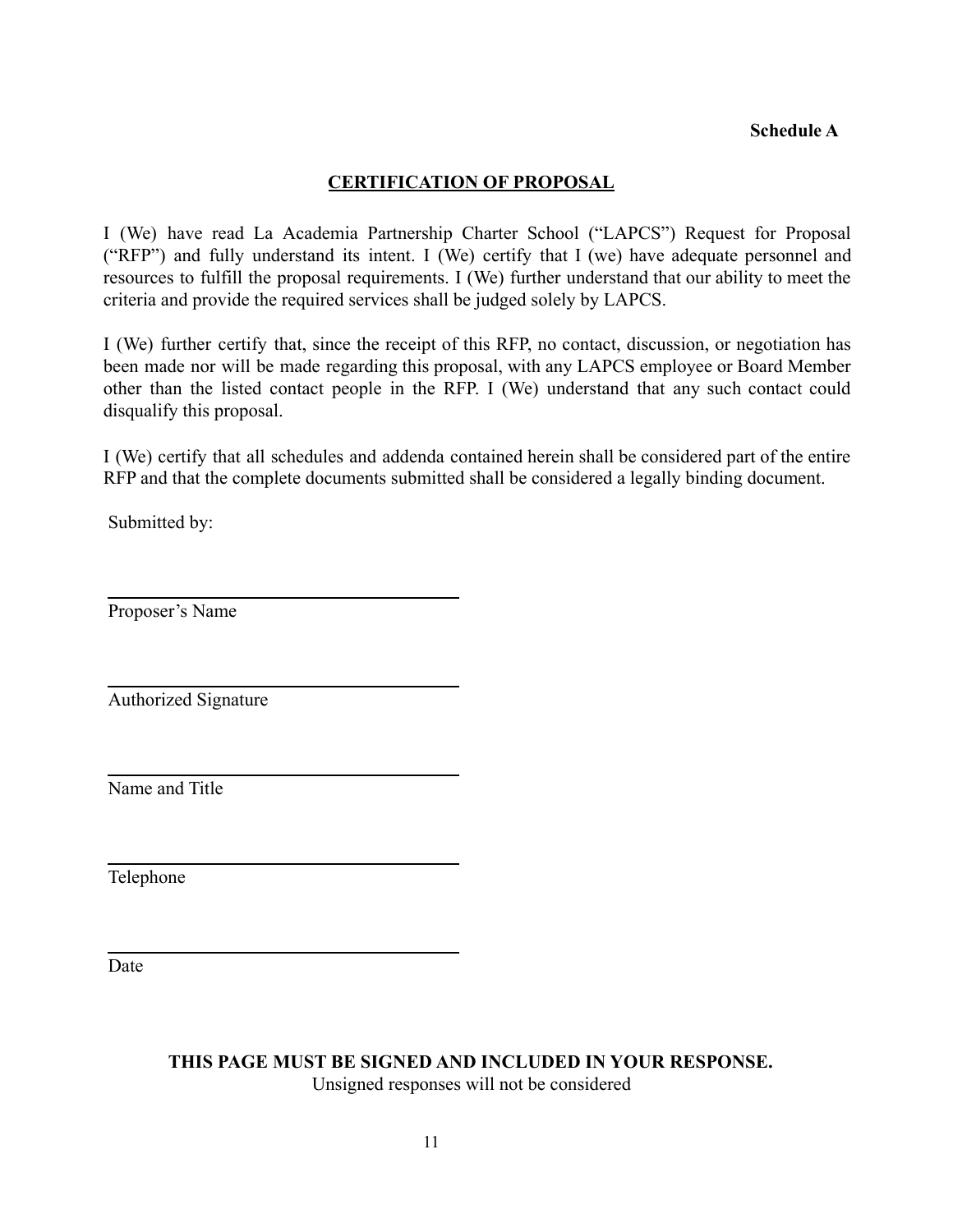### **Schedule A**

### **CERTIFICATION OF PROPOSAL**

<span id="page-11-0"></span>I (We) have read La Academia Partnership Charter School ("LAPCS") Request for Proposal ("RFP") and fully understand its intent. I (We) certify that I (we) have adequate personnel and resources to fulfill the proposal requirements. I (We) further understand that our ability to meet the criteria and provide the required services shall be judged solely by LAPCS.

I (We) further certify that, since the receipt of this RFP, no contact, discussion, or negotiation has been made nor will be made regarding this proposal, with any LAPCS employee or Board Member other than the listed contact people in the RFP. I (We) understand that any such contact could disqualify this proposal.

I (We) certify that all schedules and addenda contained herein shall be considered part of the entire RFP and that the complete documents submitted shall be considered a legally binding document.

Submitted by:

Proposer's Name

Authorized Signature

Name and Title

Telephone

Date

**THIS PAGE MUST BE SIGNED AND INCLUDED IN YOUR RESPONSE.** Unsigned responses will not be considered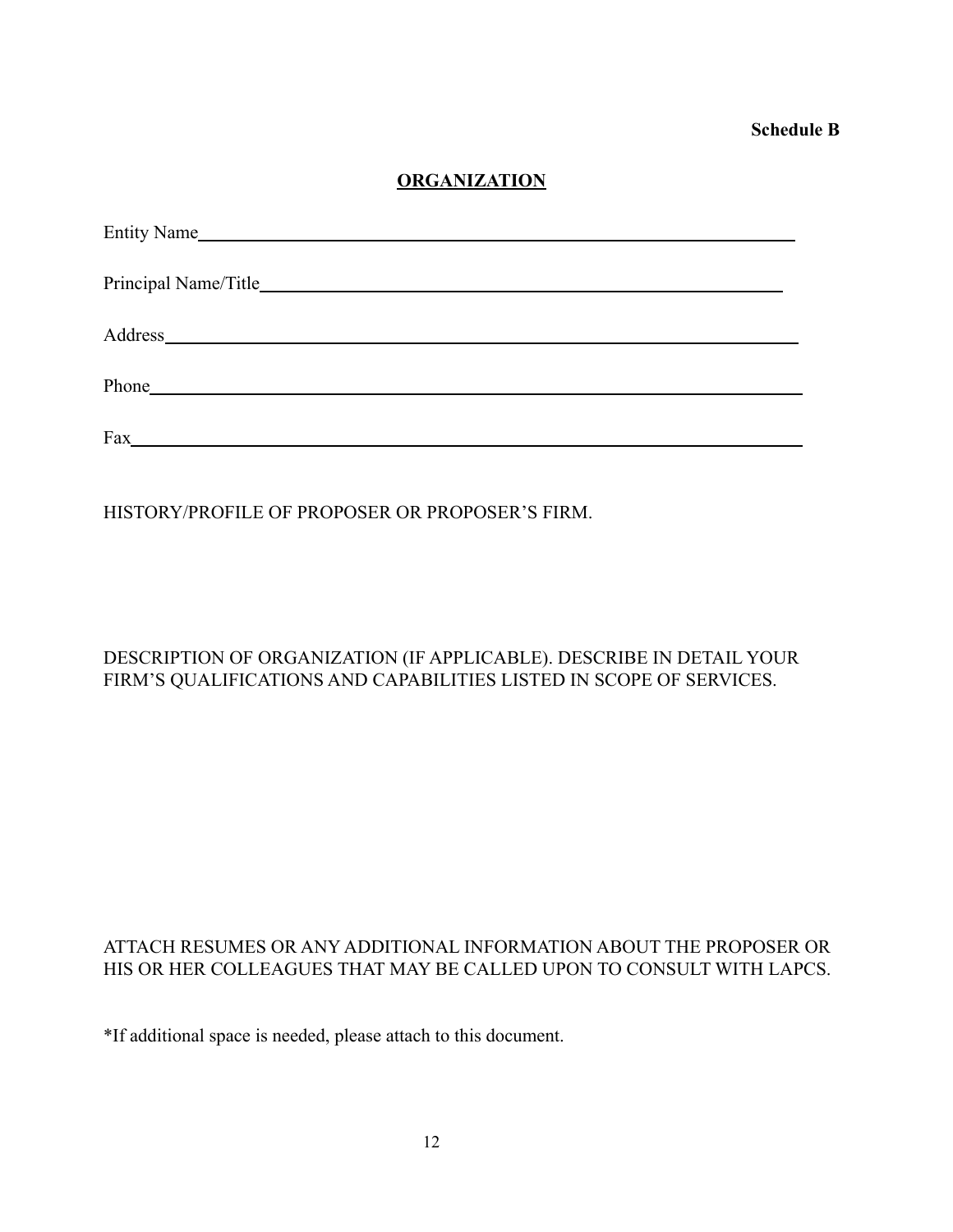**Schedule B**

## **ORGANIZATION**

<span id="page-12-0"></span>

| Entity Name                                                                                                                                                                                                                    |  |  |  |  |  |
|--------------------------------------------------------------------------------------------------------------------------------------------------------------------------------------------------------------------------------|--|--|--|--|--|
|                                                                                                                                                                                                                                |  |  |  |  |  |
|                                                                                                                                                                                                                                |  |  |  |  |  |
| Phone has a series of the series of the series of the series of the series of the series of the series of the series of the series of the series of the series of the series of the series of the series of the series of the  |  |  |  |  |  |
| Fax experience and the contract of the contract of the contract of the contract of the contract of the contract of the contract of the contract of the contract of the contract of the contract of the contract of the contrac |  |  |  |  |  |

HISTORY/PROFILE OF PROPOSER OR PROPOSER'S FIRM.

## DESCRIPTION OF ORGANIZATION (IF APPLICABLE). DESCRIBE IN DETAIL YOUR FIRM'S QUALIFICATIONS AND CAPABILITIES LISTED IN SCOPE OF SERVICES.

## ATTACH RESUMES OR ANY ADDITIONAL INFORMATION ABOUT THE PROPOSER OR HIS OR HER COLLEAGUES THAT MAY BE CALLED UPON TO CONSULT WITH LAPCS.

\*If additional space is needed, please attach to this document.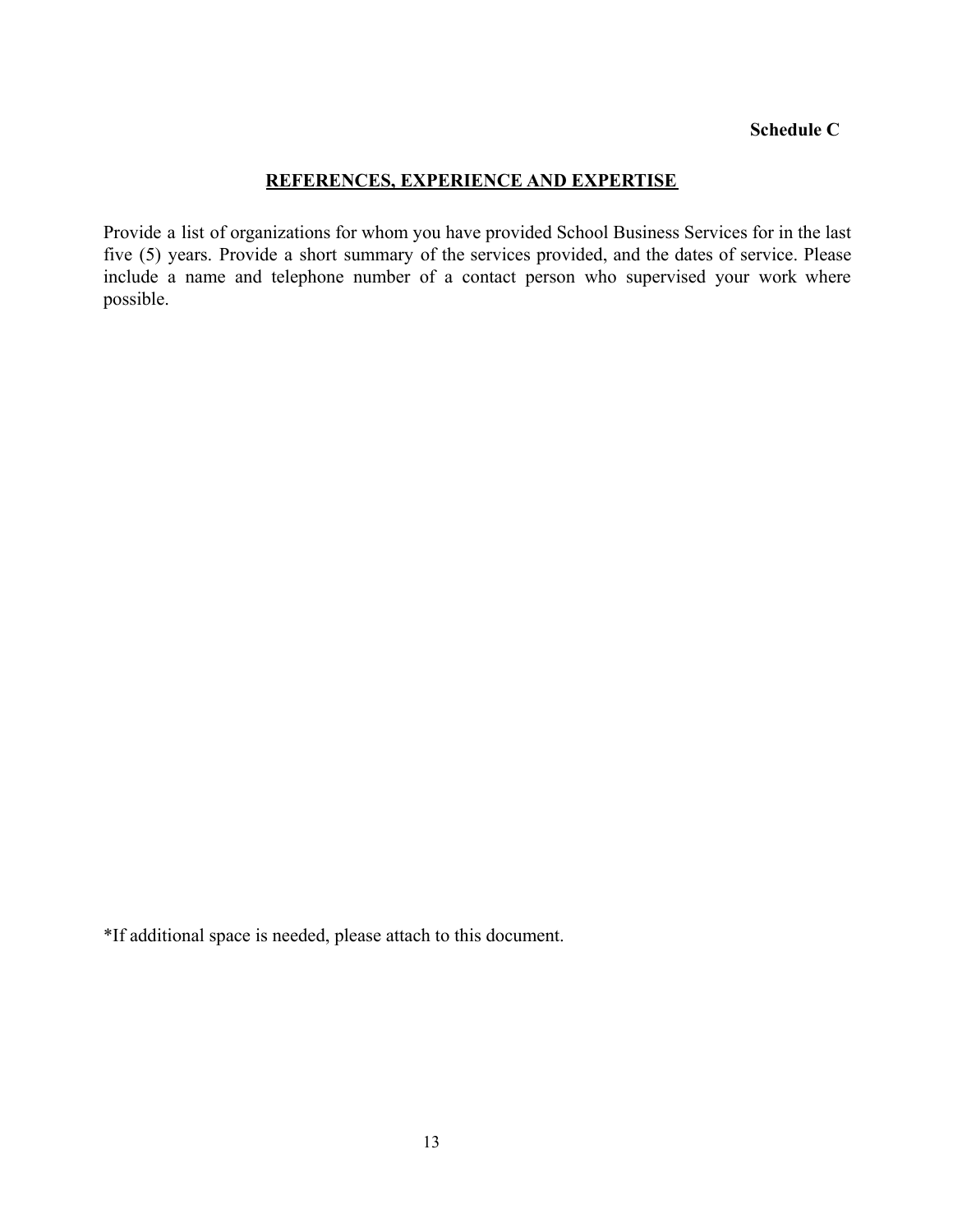#### **Schedule C**

#### **REFERENCES, EXPERIENCE AND EXPERTISE**

<span id="page-13-0"></span>Provide a list of organizations for whom you have provided School Business Services for in the last five (5) years. Provide a short summary of the services provided, and the dates of service. Please include a name and telephone number of a contact person who supervised your work where possible.

\*If additional space is needed, please attach to this document.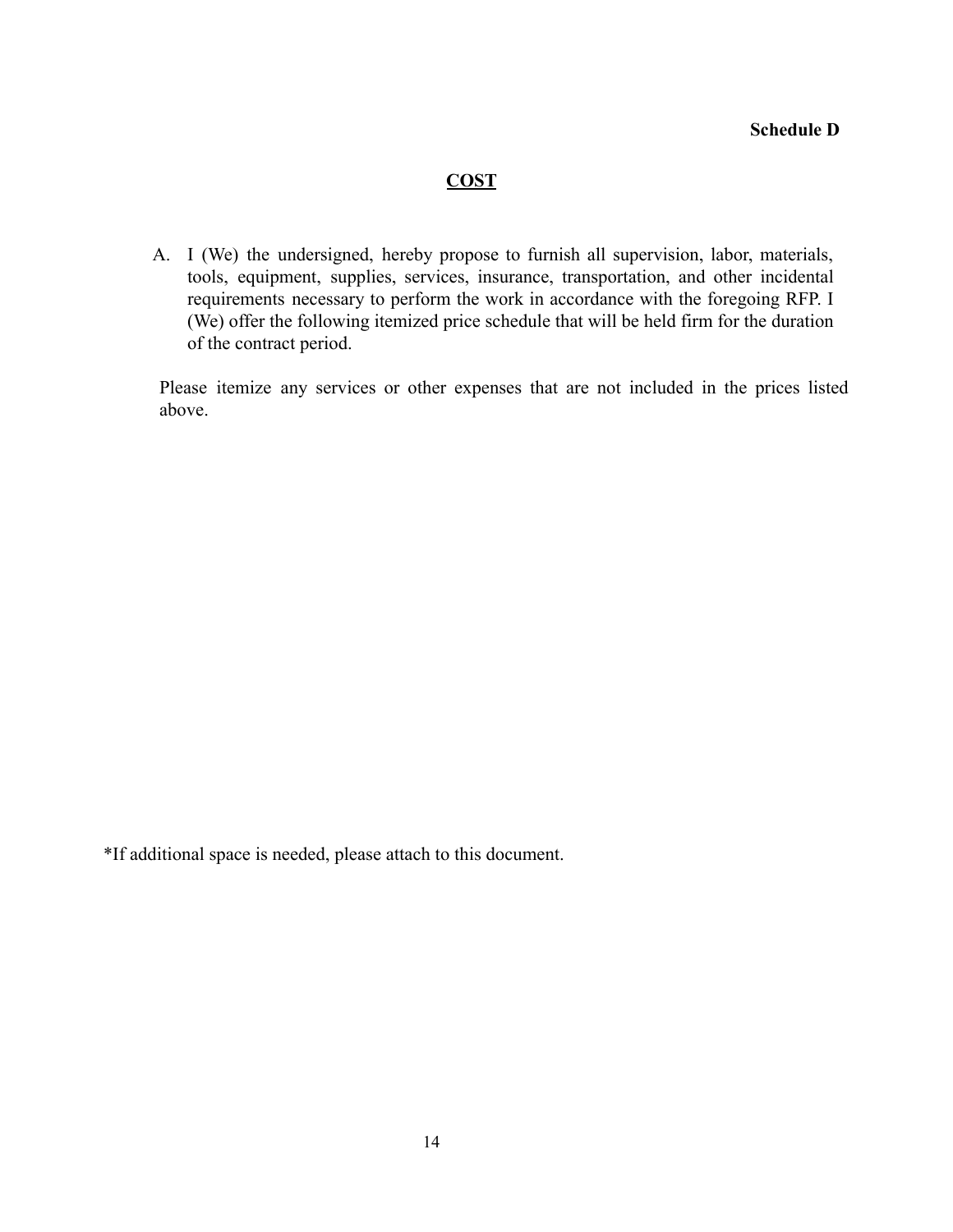#### **COST**

<span id="page-14-0"></span>A. I (We) the undersigned, hereby propose to furnish all supervision, labor, materials, tools, equipment, supplies, services, insurance, transportation, and other incidental requirements necessary to perform the work in accordance with the foregoing RFP. I (We) offer the following itemized price schedule that will be held firm for the duration of the contract period.

Please itemize any services or other expenses that are not included in the prices listed above.

\*If additional space is needed, please attach to this document.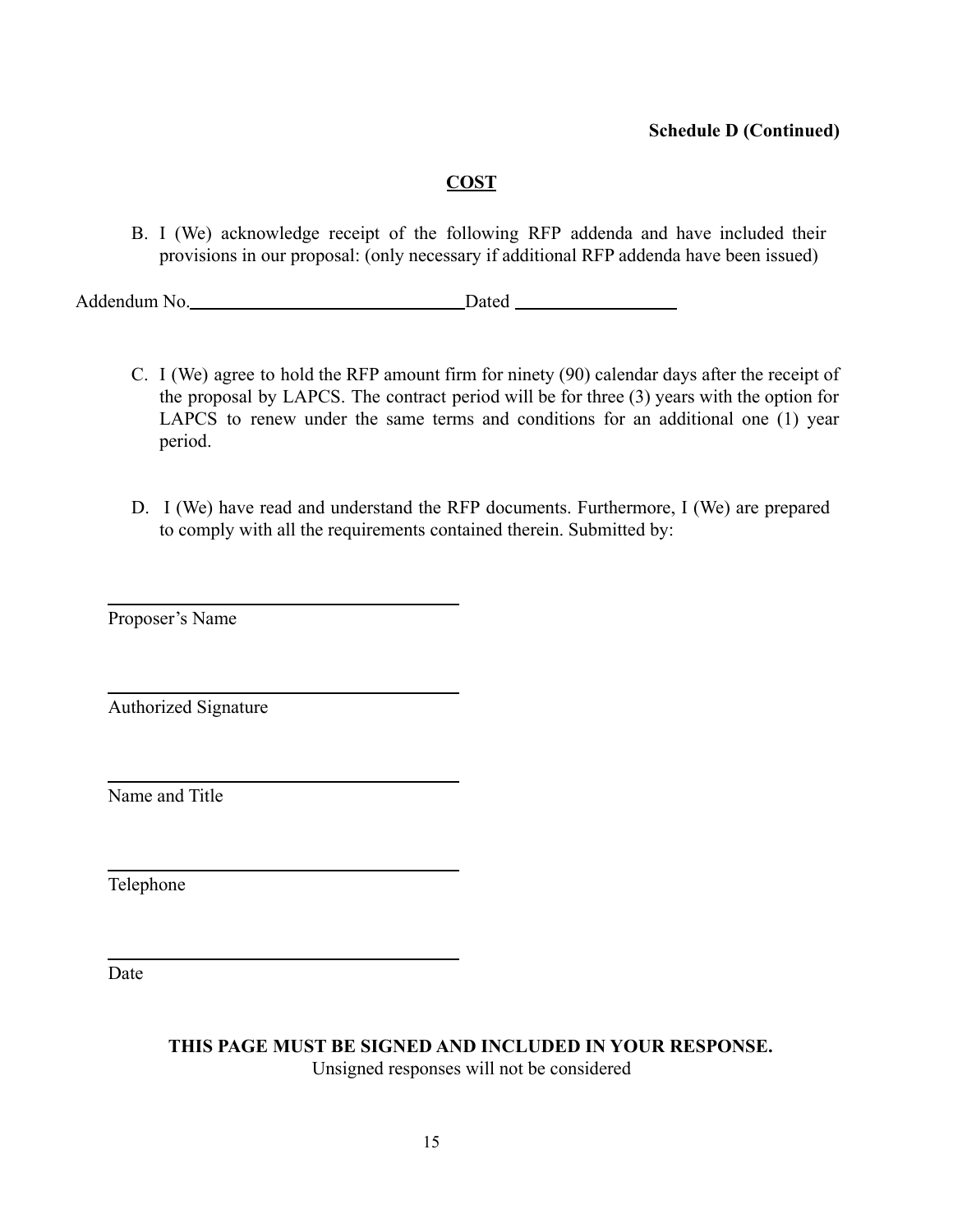## **COST**

B. I (We) acknowledge receipt of the following RFP addenda and have included their provisions in our proposal: (only necessary if additional RFP addenda have been issued)

Addendum No. Dated

- C. I (We) agree to hold the RFP amount firm for ninety (90) calendar days after the receipt of the proposal by LAPCS. The contract period will be for three (3) years with the option for LAPCS to renew under the same terms and conditions for an additional one (1) year period.
- D. I (We) have read and understand the RFP documents. Furthermore, I (We) are prepared to comply with all the requirements contained therein. Submitted by:

Proposer's Name

Authorized Signature

Name and Title

Telephone

Date

**THIS PAGE MUST BE SIGNED AND INCLUDED IN YOUR RESPONSE.**

Unsigned responses will not be considered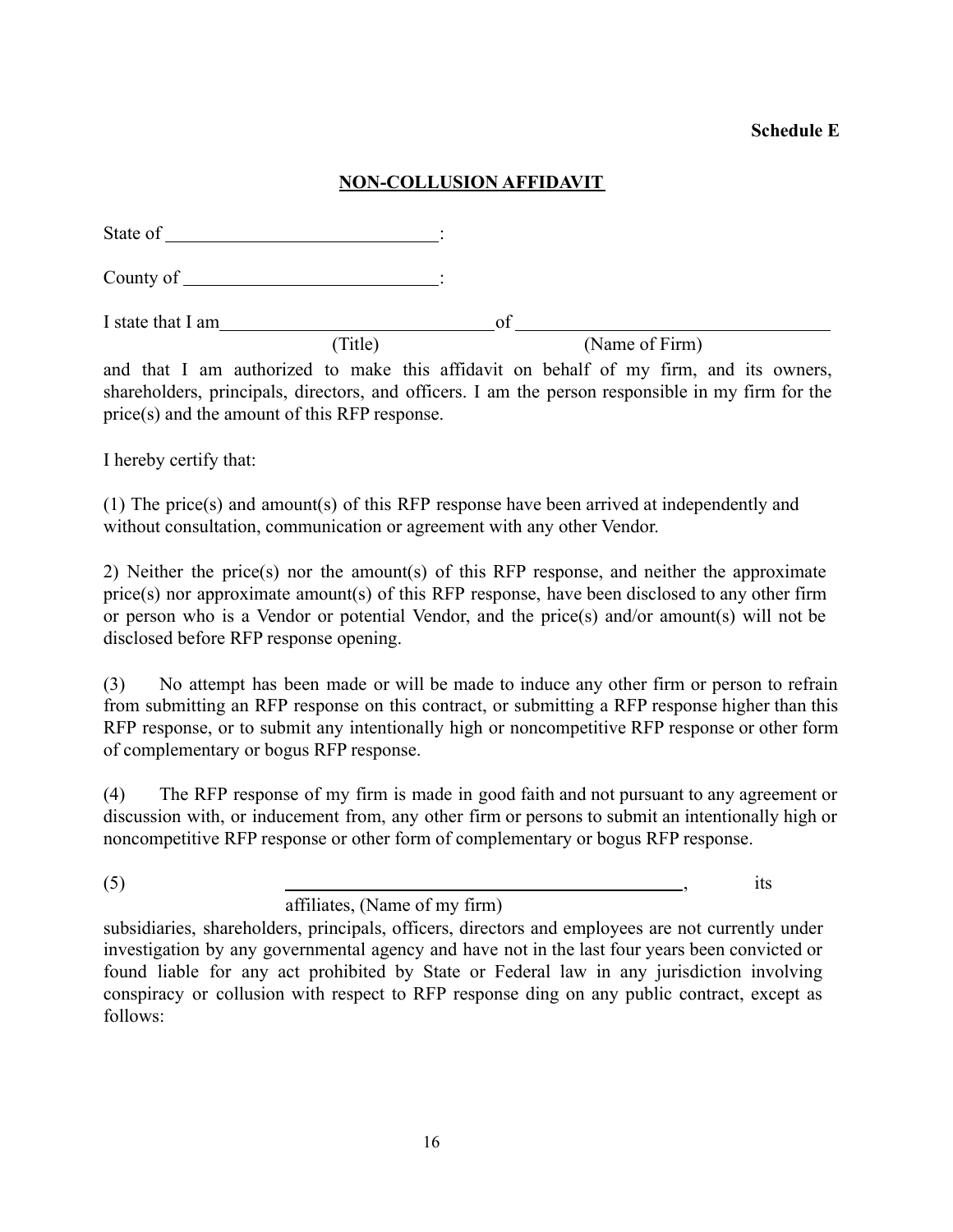### **Schedule E**

## **NON-COLLUSION AFFIDAVIT**

<span id="page-16-0"></span>

| State of          | <u> 1980 - Andrea Andrew Maria (h. 1980).</u> |    |                |  |
|-------------------|-----------------------------------------------|----|----------------|--|
|                   |                                               |    |                |  |
| I state that I am |                                               | ∩t |                |  |
|                   | (Title)                                       |    | (Name of Firm) |  |

and that I am authorized to make this affidavit on behalf of my firm, and its owners, shareholders, principals, directors, and officers. I am the person responsible in my firm for the price(s) and the amount of this RFP response.

I hereby certify that:

(1) The price(s) and amount(s) of this RFP response have been arrived at independently and without consultation, communication or agreement with any other Vendor.

2) Neither the price(s) nor the amount(s) of this RFP response, and neither the approximate price(s) nor approximate amount(s) of this RFP response, have been disclosed to any other firm or person who is a Vendor or potential Vendor, and the price(s) and/or amount(s) will not be disclosed before RFP response opening.

(3) No attempt has been made or will be made to induce any other firm or person to refrain from submitting an RFP response on this contract, or submitting a RFP response higher than this RFP response, or to submit any intentionally high or noncompetitive RFP response or other form of complementary or bogus RFP response.

(4) The RFP response of my firm is made in good faith and not pursuant to any agreement or discussion with, or inducement from, any other firm or persons to submit an intentionally high or noncompetitive RFP response or other form of complementary or bogus RFP response.

 $(5)$  its

affiliates, (Name of my firm)

subsidiaries, shareholders, principals, officers, directors and employees are not currently under investigation by any governmental agency and have not in the last four years been convicted or found liable for any act prohibited by State or Federal law in any jurisdiction involving conspiracy or collusion with respect to RFP response ding on any public contract, except as follows: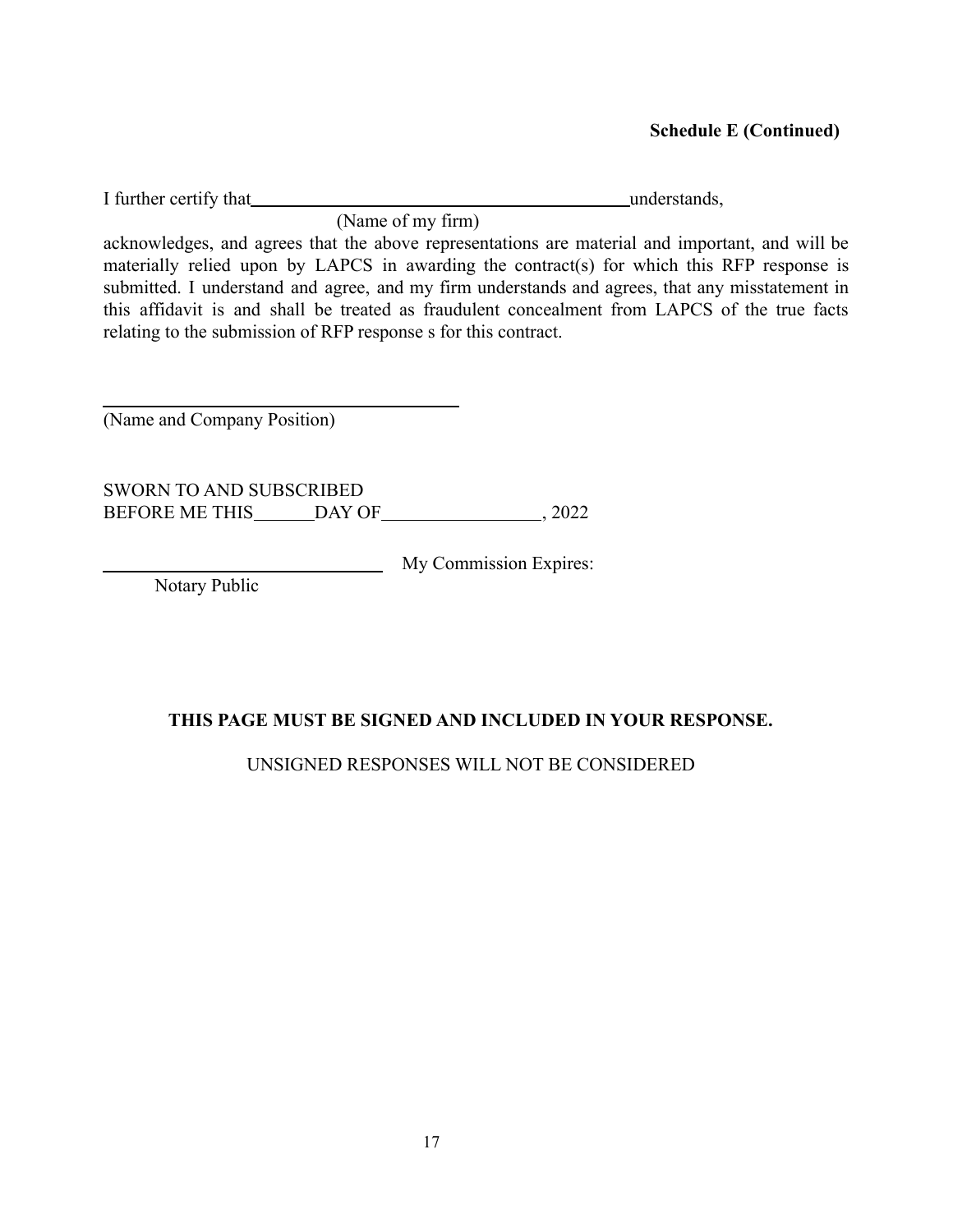I further certify that understands,

(Name of my firm)

acknowledges, and agrees that the above representations are material and important, and will be materially relied upon by LAPCS in awarding the contract(s) for which this RFP response is submitted. I understand and agree, and my firm understands and agrees, that any misstatement in this affidavit is and shall be treated as fraudulent concealment from LAPCS of the true facts relating to the submission of RFP response s for this contract.

(Name and Company Position)

SWORN TO AND SUBSCRIBED BEFORE ME THIS DAY OF , 2022

My Commission Expires:

Notary Public

## **THIS PAGE MUST BE SIGNED AND INCLUDED IN YOUR RESPONSE.**

UNSIGNED RESPONSES WILL NOT BE CONSIDERED